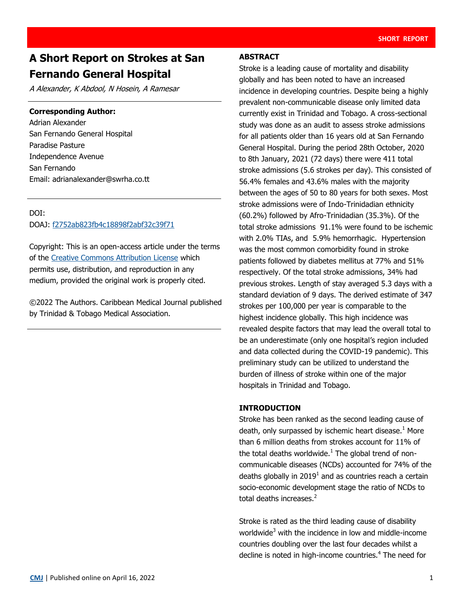# **A Short Report on Strokes at San Fernando General Hospital**

A Alexander, K Abdool, N Hosein, A Ramesar

#### **Corresponding Author:**

Adrian Alexander San Fernando General Hospital Paradise Pasture Independence Avenue San Fernando Email: [adrianalexander@swrha.co.tt](mailto:adrianalexander@swrha.co.tt)

### DOI:

#### DOAJ: [f2752ab823fb4c18898f2abf32c39f71](https://doaj.org/article/f2752ab823fb4c18898f2abf32c39f71)

Copyright: This is an open-access article under the terms of the [Creative Commons Attribution License](https://creativecommons.org/licenses/by/4.0/) which permits use, distribution, and reproduction in any medium, provided the original work is properly cited.

©2022 The Authors. Caribbean Medical Journal published by Trinidad & Tobago Medical Association.

#### **ABSTRACT**

Stroke is a leading cause of mortality and disability globally and has been noted to have an increased incidence in developing countries. Despite being a highly prevalent non-communicable disease only limited data currently exist in Trinidad and Tobago. A cross-sectional study was done as an audit to assess stroke admissions for all patients older than 16 years old at San Fernando General Hospital. During the period 28th October, 2020 to 8th January, 2021 (72 days) there were 411 total stroke admissions (5.6 strokes per day). This consisted of 56.4% females and 43.6% males with the majority between the ages of 50 to 80 years for both sexes. Most stroke admissions were of Indo-Trinidadian ethnicity (60.2%) followed by Afro-Trinidadian (35.3%). Of the total stroke admissions 91.1% were found to be ischemic with 2.0% TIAs, and 5.9% hemorrhagic. Hypertension was the most common comorbidity found in stroke patients followed by diabetes mellitus at 77% and 51% respectively. Of the total stroke admissions, 34% had previous strokes. Length of stay averaged 5.3 days with a standard deviation of 9 days. The derived estimate of 347 strokes per 100,000 per year is comparable to the highest incidence globally. This high incidence was revealed despite factors that may lead the overall total to be an underestimate (only one hospital's region included and data collected during the COVID-19 pandemic). This preliminary study can be utilized to understand the burden of illness of stroke within one of the major hospitals in Trinidad and Tobago.

#### **INTRODUCTION**

Stroke has been ranked as the second leading cause of death, only surpassed by ischemic heart disease.<sup>1</sup> More than 6 million deaths from strokes account for 11% of the total deaths worldwide. $^1$  The global trend of noncommunicable diseases (NCDs) accounted for 74% of the deaths globally in 2019<sup>1</sup> and as countries reach a certain socio-economic development stage the ratio of NCDs to total deaths increases.<sup>2</sup>

Stroke is rated as the third leading cause of disability worldwide<sup>3</sup> with the incidence in low and middle-income countries doubling over the last four decades whilst a decline is noted in high-income countries.<sup>4</sup> The need for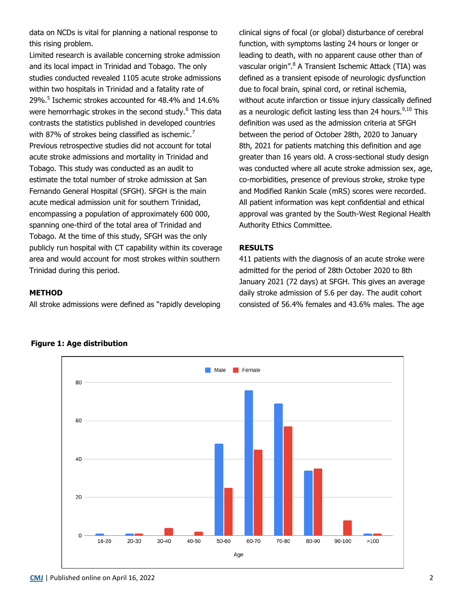data on NCDs is vital for planning a national response to this rising problem.

Limited research is available concerning stroke admission and its local impact in Trinidad and Tobago. The only studies conducted revealed 1105 acute stroke admissions within two hospitals in Trinidad and a fatality rate of 29%.<sup>5</sup> Ischemic strokes accounted for 48.4% and 14.6% were hemorrhagic strokes in the second study.<sup>6</sup> This data contrasts the statistics published in developed countries with 87% of strokes being classified as ischemic.<sup>7</sup> Previous retrospective studies did not account for total acute stroke admissions and mortality in Trinidad and Tobago. This study was conducted as an audit to estimate the total number of stroke admission at San Fernando General Hospital (SFGH). SFGH is the main acute medical admission unit for southern Trinidad, encompassing a population of approximately 600 000, spanning one-third of the total area of Trinidad and Tobago. At the time of this study, SFGH was the only publicly run hospital with CT capability within its coverage area and would account for most strokes within southern Trinidad during this period.

clinical signs of focal (or global) disturbance of cerebral function, with symptoms lasting 24 hours or longer or leading to death, with no apparent cause other than of vascular origin".<sup>8</sup> A Transient Ischemic Attack (TIA) was defined as a transient episode of neurologic dysfunction due to focal brain, spinal cord, or retinal ischemia, without acute infarction or tissue injury classically defined as a neurologic deficit lasting less than 24 hours. $9,10$  This definition was used as the admission criteria at SFGH between the period of October 28th, 2020 to January 8th, 2021 for patients matching this definition and age greater than 16 years old. A cross-sectional study design was conducted where all acute stroke admission sex, age, co-morbidities, presence of previous stroke, stroke type and Modified Rankin Scale (mRS) scores were recorded. All patient information was kept confidential and ethical approval was granted by the South-West Regional Health Authority Ethics Committee.

#### **RESULTS**

411 patients with the diagnosis of an acute stroke were admitted for the period of 28th October 2020 to 8th January 2021 (72 days) at SFGH. This gives an average daily stroke admission of 5.6 per day. The audit cohort consisted of 56.4% females and 43.6% males. The age

#### **METHOD**

All stroke admissions were defined as "rapidly developing



## **Figure 1: Age distribution**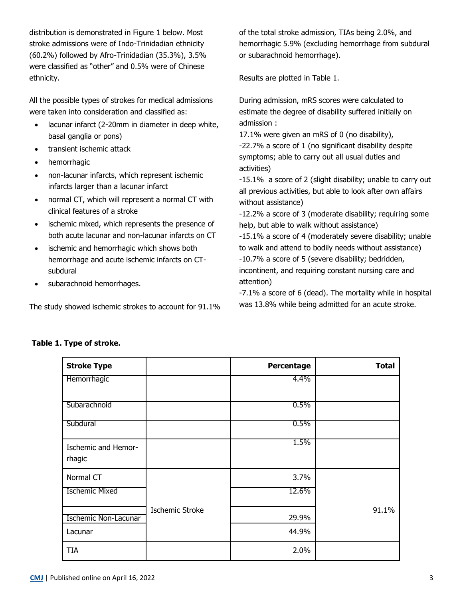distribution is demonstrated in Figure 1 below. Most stroke admissions were of Indo-Trinidadian ethnicity (60.2%) followed by Afro-Trinidadian (35.3%), 3.5% were classified as "other" and 0.5% were of Chinese ethnicity.

All the possible types of strokes for medical admissions were taken into consideration and classified as:

- lacunar infarct (2-20mm in diameter in deep white, basal ganglia or pons)
- transient ischemic attack
- hemorrhagic
- non-lacunar infarcts, which represent ischemic infarcts larger than a lacunar infarct
- normal CT, which will represent a normal CT with clinical features of a stroke
- ischemic mixed, which represents the presence of both acute lacunar and non-lacunar infarcts on CT
- ischemic and hemorrhagic which shows both hemorrhage and acute ischemic infarcts on CTsubdural
- subarachnoid hemorrhages.

The study showed ischemic strokes to account for 91.1%

of the total stroke admission, TIAs being 2.0%, and hemorrhagic 5.9% (excluding hemorrhage from subdural or subarachnoid hemorrhage).

Results are plotted in Table 1.

During admission, mRS scores were calculated to estimate the degree of disability suffered initially on admission :

17.1% were given an mRS of 0 (no disability),

-22.7% a score of 1 (no significant disability despite symptoms; able to carry out all usual duties and activities)

-15.1% a score of 2 (slight disability; unable to carry out all previous activities, but able to look after own affairs without assistance)

-12.2% a score of 3 (moderate disability; requiring some help, but able to walk without assistance)

-15.1% a score of 4 (moderately severe disability; unable to walk and attend to bodily needs without assistance) -10.7% a score of 5 (severe disability; bedridden, incontinent, and requiring constant nursing care and attention)

-7.1% a score of 6 (dead). The mortality while in hospital was 13.8% while being admitted for an acute stroke.

| <b>Stroke Type</b>            |                        | Percentage | <b>Total</b> |
|-------------------------------|------------------------|------------|--------------|
| Hemorrhagic                   |                        | 4.4%       |              |
| Subarachnoid                  |                        | 0.5%       |              |
| Subdural                      |                        | $0.5\%$    |              |
| Ischemic and Hemor-<br>rhagic |                        | 1.5%       |              |
| Normal CT                     |                        | 3.7%       |              |
| <b>Ischemic Mixed</b>         |                        | 12.6%      |              |
| Ischemic Non-Lacunar          | <b>Ischemic Stroke</b> | 29.9%      | 91.1%        |
| Lacunar                       |                        | 44.9%      |              |
| <b>TIA</b>                    |                        | 2.0%       |              |

## **Table 1. Type of stroke.**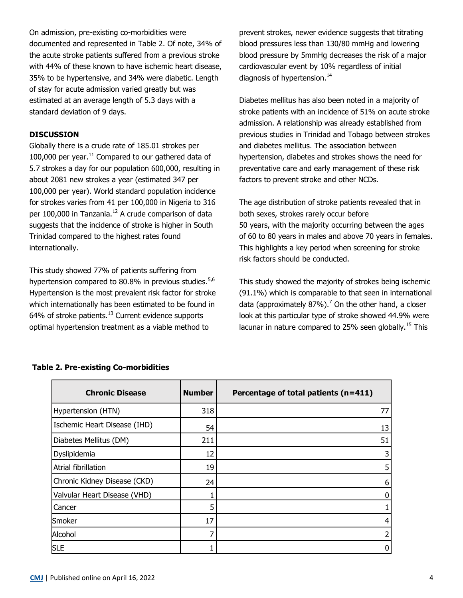On admission, pre-existing co-morbidities were documented and represented in Table 2. Of note, 34% of the acute stroke patients suffered from a previous stroke with 44% of these known to have ischemic heart disease, 35% to be hypertensive, and 34% were diabetic. Length of stay for acute admission varied greatly but was estimated at an average length of 5.3 days with a standard deviation of 9 days.

### **DISCUSSION**

Globally there is a crude rate of 185.01 strokes per 100,000 per year. $^{11}$  Compared to our gathered data of 5.7 strokes a day for our population 600,000, resulting in about 2081 new strokes a year (estimated 347 per 100,000 per year). World standard population incidence for strokes varies from 41 per 100,000 in Nigeria to 316 per 100,000 in Tanzania.<sup>12</sup> A crude comparison of data suggests that the incidence of stroke is higher in South Trinidad compared to the highest rates found internationally.

This study showed 77% of patients suffering from hypertension compared to 80.8% in previous studies.  $5.6$ Hypertension is the most prevalent risk factor for stroke which internationally has been estimated to be found in 64% of stroke patients. $13$  Current evidence supports optimal hypertension treatment as a viable method to

prevent strokes, newer evidence suggests that titrating blood pressures less than 130/80 mmHg and lowering blood pressure by 5mmHg decreases the risk of a major cardiovascular event by 10% regardless of initial diagnosis of hypertension. $14$ 

Diabetes mellitus has also been noted in a majority of stroke patients with an incidence of 51% on acute stroke admission. A relationship was already established from previous studies in Trinidad and Tobago between strokes and diabetes mellitus. The association between hypertension, diabetes and strokes shows the need for preventative care and early management of these risk factors to prevent stroke and other NCDs.

The age distribution of stroke patients revealed that in both sexes, strokes rarely occur before 50 years, with the majority occurring between the ages of 60 to 80 years in males and above 70 years in females. This highlights a key period when screening for stroke risk factors should be conducted.

This study showed the majority of strokes being ischemic (91.1%) which is comparable to that seen in international data (approximately  $87\%$ ).<sup>7</sup> On the other hand, a closer look at this particular type of stroke showed 44.9% were lacunar in nature compared to 25% seen globally.<sup>15</sup> This

| <b>Chronic Disease</b>       | <b>Number</b> | Percentage of total patients (n=411) |
|------------------------------|---------------|--------------------------------------|
| Hypertension (HTN)           | 318           | 77                                   |
| Ischemic Heart Disease (IHD) | 54            | 13                                   |
| Diabetes Mellitus (DM)       | 211           | 51                                   |
| Dyslipidemia                 | 12            | 3                                    |
| Atrial fibrillation          | 19            | 5                                    |
| Chronic Kidney Disease (CKD) | 24            | 6                                    |
| Valvular Heart Disease (VHD) |               | 0                                    |
| Cancer                       |               |                                      |
| Smoker                       | 17            | 4                                    |
| Alcohol                      |               |                                      |
| <b>SLE</b>                   |               | 0                                    |

### **Table 2. Pre-existing Co-morbidities**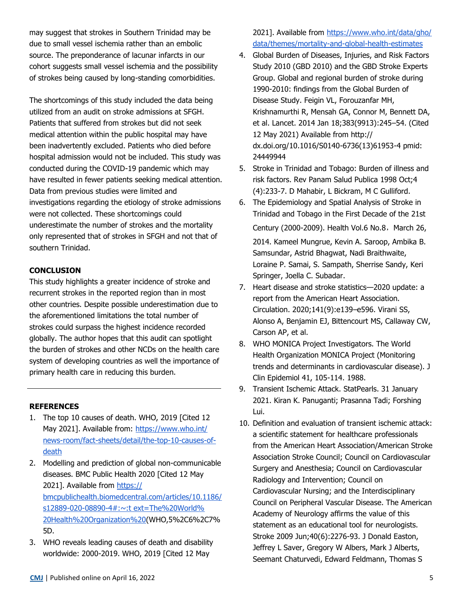may suggest that strokes in Southern Trinidad may be due to small vessel ischemia rather than an embolic source. The preponderance of lacunar infarcts in our cohort suggests small vessel ischemia and the possibility of strokes being caused by long-standing comorbidities.

The shortcomings of this study included the data being utilized from an audit on stroke admissions at SFGH. Patients that suffered from strokes but did not seek medical attention within the public hospital may have been inadvertently excluded. Patients who died before hospital admission would not be included. This study was conducted during the COVID-19 pandemic which may have resulted in fewer patients seeking medical attention. Data from previous studies were limited and investigations regarding the etiology of stroke admissions were not collected. These shortcomings could underestimate the number of strokes and the mortality only represented that of strokes in SFGH and not that of southern Trinidad.

## **CONCLUSION**

This study highlights a greater incidence of stroke and recurrent strokes in the reported region than in most other countries. Despite possible underestimation due to the aforementioned limitations the total number of strokes could surpass the highest incidence recorded globally. The author hopes that this audit can spotlight the burden of strokes and other NCDs on the health care system of developing countries as well the importance of primary health care in reducing this burden.

#### **REFERENCES**

- 1. The top 10 causes of death. WHO, 2019 [Cited 12 May 2021]. Available from: [https://www.who.int/](https://www.who.int/news-room/fact-sheets/detail/the-top-10-causes-of-death) news-room/fact-[sheets/detail/the](https://www.who.int/news-room/fact-sheets/detail/the-top-10-causes-of-death)-top-10-causes-of[death](https://www.who.int/news-room/fact-sheets/detail/the-top-10-causes-of-death)
- 2. Modelling and prediction of global non-communicable diseases. BMC Public Health 2020 [Cited 12 May 2021]. Available from [https://](https://bmcpublichealth.biomedcentral.com/articles/10.1186/s12889-020-08890-4#:~:text=The%20World%20Health%20Organization%20) [bmcpublichealth.biomedcentral.com/articles/10.1186/](https://bmcpublichealth.biomedcentral.com/articles/10.1186/s12889-020-08890-4#:~:text=The%20World%20Health%20Organization%20) s12889-020-08890-[4#:~:t ex](https://bmcpublichealth.biomedcentral.com/articles/10.1186/s12889-020-08890-4#:~:text=The%20World%20Health%20Organization%20)t=The%20World% [20Health%20Organization%20\(W](https://bmcpublichealth.biomedcentral.com/articles/10.1186/s12889-020-08890-4#:~:text=The%20World%20Health%20Organization%20)HO,5%2C6%2C7% 5D.
- 3. WHO reveals leading causes of death and disability worldwide: 2000-2019. WHO, 2019 [Cited 12 May

2021]. Available from [https://www.who.int/data/gho/](https://www.who.int/data/gho/data/themes/mortality-and-global-health-estimates) [data/themes/mortality](https://www.who.int/data/gho/data/themes/mortality-and-global-health-estimates)-and-global-health-estimates

- 4. Global Burden of Diseases, Injuries, and Risk Factors Study 2010 (GBD 2010) and the GBD Stroke Experts Group. Global and regional burden of stroke during 1990-2010: findings from the Global Burden of Disease Study. Feigin VL, Forouzanfar MH, Krishnamurthi R, Mensah GA, Connor M, Bennett DA, et al. Lancet. 2014 Jan 18;383(9913):245–54. (Cited 12 May 2021) Available from http:// dx.doi.org/10.1016/S0140-6736(13)61953-4 pmid: 24449944
- 5. Stroke in Trinidad and Tobago: Burden of illness and risk factors. Rev Panam Salud Publica 1998 Oct;4 (4):233-7. D Mahabir, L Bickram, M C Gulliford.
- 6. The Epidemiology and Spatial Analysis of Stroke in Trinidad and Tobago in the First Decade of the 21st Century (2000-2009). Health Vol.6 No.8, March 26, 2014. Kameel Mungrue, Kevin A. Saroop, Ambika B. Samsundar, Astrid Bhagwat, Nadi Braithwaite, Loraine P. Samai, S. Sampath, Sherrise Sandy, Keri Springer, Joella C. Subadar.
- 7. Heart disease and stroke statistics—2020 update: a report from the American Heart Association. Circulation. 2020;141(9):e139–e596. Virani SS, Alonso A, Benjamin EJ, Bittencourt MS, Callaway CW, Carson AP, et al.
- 8. WHO MONICA Project Investigators. The World Health Organization MONICA Project (Monitoring trends and determinants in cardiovascular disease). J Clin Epidemiol 41, 105-114. 1988.
- 9. Transient Ischemic Attack. StatPearls. 31 January 2021. Kiran K. Panuganti; Prasanna Tadi; Forshing Lui.
- 10. Definition and evaluation of transient ischemic attack: a scientific statement for healthcare professionals from the American Heart Association/American Stroke Association Stroke Council; Council on Cardiovascular Surgery and Anesthesia; Council on Cardiovascular Radiology and Intervention; Council on Cardiovascular Nursing; and the Interdisciplinary Council on Peripheral Vascular Disease. The American Academy of Neurology affirms the value of this statement as an educational tool for neurologists. Stroke 2009 Jun;40(6):2276-93. J Donald Easton, Jeffrey L Saver, Gregory W Albers, Mark J Alberts, Seemant Chaturvedi, Edward Feldmann, Thomas S